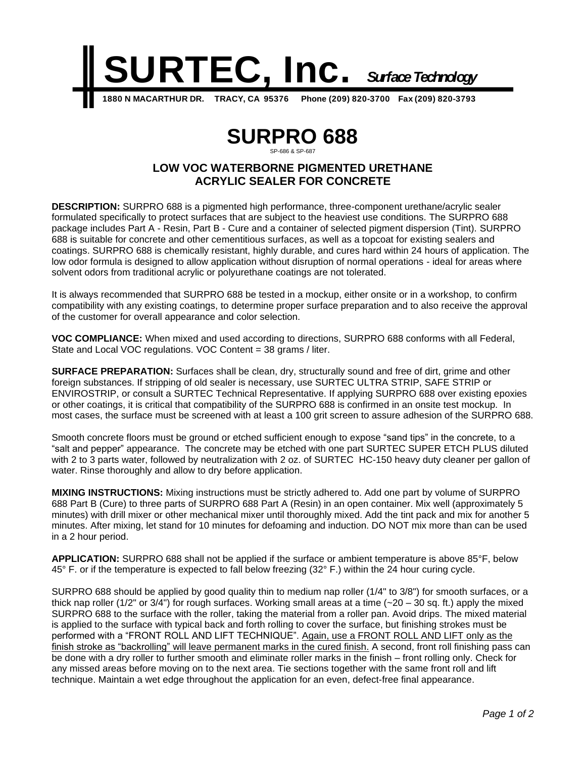

# **SURPRO 688**

## SP-686 & SP-687 **LOW VOC WATERBORNE PIGMENTED URETHANE**

**ACRYLIC SEALER FOR CONCRETE**

**DESCRIPTION:** SURPRO 688 is a pigmented high performance, three-component urethane/acrylic sealer formulated specifically to protect surfaces that are subject to the heaviest use conditions. The SURPRO 688 package includes Part A - Resin, Part B - Cure and a container of selected pigment dispersion (Tint). SURPRO 688 is suitable for concrete and other cementitious surfaces, as well as a topcoat for existing sealers and coatings. SURPRO 688 is chemically resistant, highly durable, and cures hard within 24 hours of application. The low odor formula is designed to allow application without disruption of normal operations - ideal for areas where solvent odors from traditional acrylic or polyurethane coatings are not tolerated.

It is always recommended that SURPRO 688 be tested in a mockup, either onsite or in a workshop, to confirm compatibility with any existing coatings, to determine proper surface preparation and to also receive the approval of the customer for overall appearance and color selection.

**VOC COMPLIANCE:** When mixed and used according to directions, SURPRO 688 conforms with all Federal, State and Local VOC regulations. VOC Content = 38 grams / liter.

**SURFACE PREPARATION:** Surfaces shall be clean, dry, structurally sound and free of dirt, grime and other foreign substances. If stripping of old sealer is necessary, use SURTEC ULTRA STRIP, SAFE STRIP or ENVIROSTRIP, or consult a SURTEC Technical Representative. If applying SURPRO 688 over existing epoxies or other coatings, it is critical that compatibility of the SURPRO 688 is confirmed in an onsite test mockup. In most cases, the surface must be screened with at least a 100 grit screen to assure adhesion of the SURPRO 688.

Smooth concrete floors must be ground or etched sufficient enough to expose "sand tips" in the concrete, to a "salt and pepper" appearance. The concrete may be etched with one part SURTEC SUPER ETCH PLUS diluted with 2 to 3 parts water, followed by neutralization with 2 oz. of SURTEC HC-150 heavy duty cleaner per gallon of water. Rinse thoroughly and allow to dry before application.

**MIXING INSTRUCTIONS:** Mixing instructions must be strictly adhered to. Add one part by volume of SURPRO 688 Part B (Cure) to three parts of SURPRO 688 Part A (Resin) in an open container. Mix well (approximately 5 minutes) with drill mixer or other mechanical mixer until thoroughly mixed. Add the tint pack and mix for another 5 minutes. After mixing, let stand for 10 minutes for defoaming and induction. DO NOT mix more than can be used in a 2 hour period.

**APPLICATION:** SURPRO 688 shall not be applied if the surface or ambient temperature is above 85°F, below 45° F. or if the temperature is expected to fall below freezing (32° F.) within the 24 hour curing cycle.

SURPRO 688 should be applied by good quality thin to medium nap roller (1/4" to 3/8") for smooth surfaces, or a thick nap roller (1/2" or 3/4") for rough surfaces. Working small areas at a time  $(-20 - 30$  sq. ft.) apply the mixed SURPRO 688 to the surface with the roller, taking the material from a roller pan. Avoid drips. The mixed material is applied to the surface with typical back and forth rolling to cover the surface, but finishing strokes must be performed with a "FRONT ROLL AND LIFT TECHNIQUE". Again, use a FRONT ROLL AND LIFT only as the finish stroke as "backrolling" will leave permanent marks in the cured finish. A second, front roll finishing pass can be done with a dry roller to further smooth and eliminate roller marks in the finish – front rolling only. Check for any missed areas before moving on to the next area. Tie sections together with the same front roll and lift technique. Maintain a wet edge throughout the application for an even, defect-free final appearance.